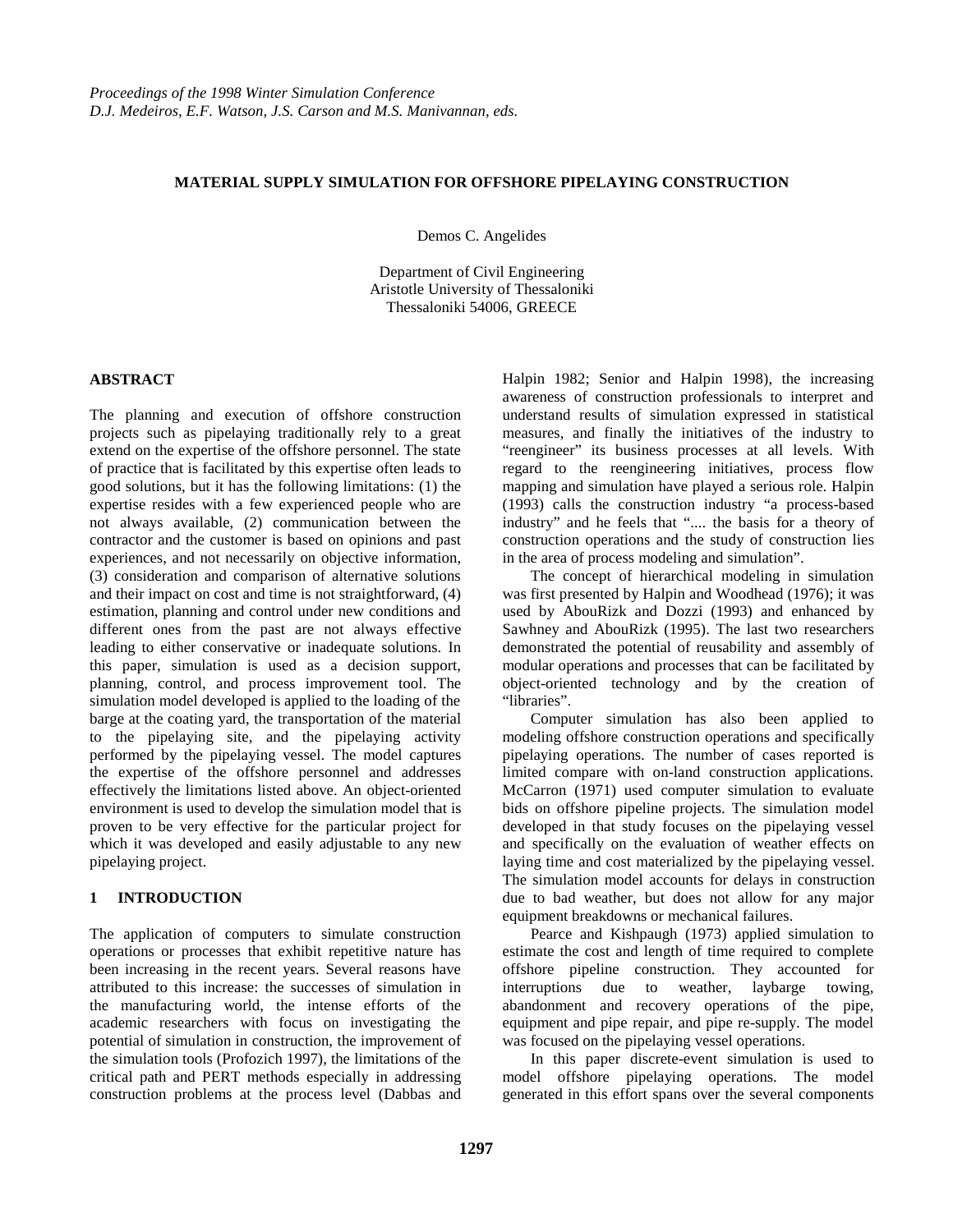# **MATERIAL SUPPLY SIMULATION FOR OFFSHORE PIPELAYING CONSTRUCTION**

Demos C. Angelides

Department of Civil Engineering Aristotle University of Thessaloniki Thessaloniki 54006, GREECE

## **ABSTRACT**

The planning and execution of offshore construction projects such as pipelaying traditionally rely to a great extend on the expertise of the offshore personnel. The state of practice that is facilitated by this expertise often leads to good solutions, but it has the following limitations: (1) the expertise resides with a few experienced people who are not always available, (2) communication between the contractor and the customer is based on opinions and past experiences, and not necessarily on objective information, (3) consideration and comparison of alternative solutions and their impact on cost and time is not straightforward, (4) estimation, planning and control under new conditions and different ones from the past are not always effective leading to either conservative or inadequate solutions. In this paper, simulation is used as a decision support, planning, control, and process improvement tool. The simulation model developed is applied to the loading of the barge at the coating yard, the transportation of the material to the pipelaying site, and the pipelaying activity performed by the pipelaying vessel. The model captures the expertise of the offshore personnel and addresses effectively the limitations listed above. An object-oriented environment is used to develop the simulation model that is proven to be very effective for the particular project for which it was developed and easily adjustable to any new pipelaying project.

# **1 INTRODUCTION**

The application of computers to simulate construction operations or processes that exhibit repetitive nature has been increasing in the recent years. Several reasons have attributed to this increase: the successes of simulation in the manufacturing world, the intense efforts of the academic researchers with focus on investigating the potential of simulation in construction, the improvement of the simulation tools (Profozich 1997), the limitations of the critical path and PERT methods especially in addressing construction problems at the process level (Dabbas and

Halpin 1982; Senior and Halpin 1998), the increasing awareness of construction professionals to interpret and understand results of simulation expressed in statistical measures, and finally the initiatives of the industry to "reengineer" its business processes at all levels. With regard to the reengineering initiatives, process flow mapping and simulation have played a serious role. Halpin (1993) calls the construction industry "a process-based industry" and he feels that ".... the basis for a theory of construction operations and the study of construction lies in the area of process modeling and simulation".

The concept of hierarchical modeling in simulation was first presented by Halpin and Woodhead (1976); it was used by AbouRizk and Dozzi (1993) and enhanced by Sawhney and AbouRizk (1995). The last two researchers demonstrated the potential of reusability and assembly of modular operations and processes that can be facilitated by object-oriented technology and by the creation of "libraries".

Computer simulation has also been applied to modeling offshore construction operations and specifically pipelaying operations. The number of cases reported is limited compare with on-land construction applications. McCarron (1971) used computer simulation to evaluate bids on offshore pipeline projects. The simulation model developed in that study focuses on the pipelaying vessel and specifically on the evaluation of weather effects on laying time and cost materialized by the pipelaying vessel. The simulation model accounts for delays in construction due to bad weather, but does not allow for any major equipment breakdowns or mechanical failures.

Pearce and Kishpaugh (1973) applied simulation to estimate the cost and length of time required to complete offshore pipeline construction. They accounted for interruptions due to weather, laybarge towing, abandonment and recovery operations of the pipe, equipment and pipe repair, and pipe re-supply. The model was focused on the pipelaying vessel operations.

In this paper discrete-event simulation is used to model offshore pipelaying operations. The model generated in this effort spans over the several components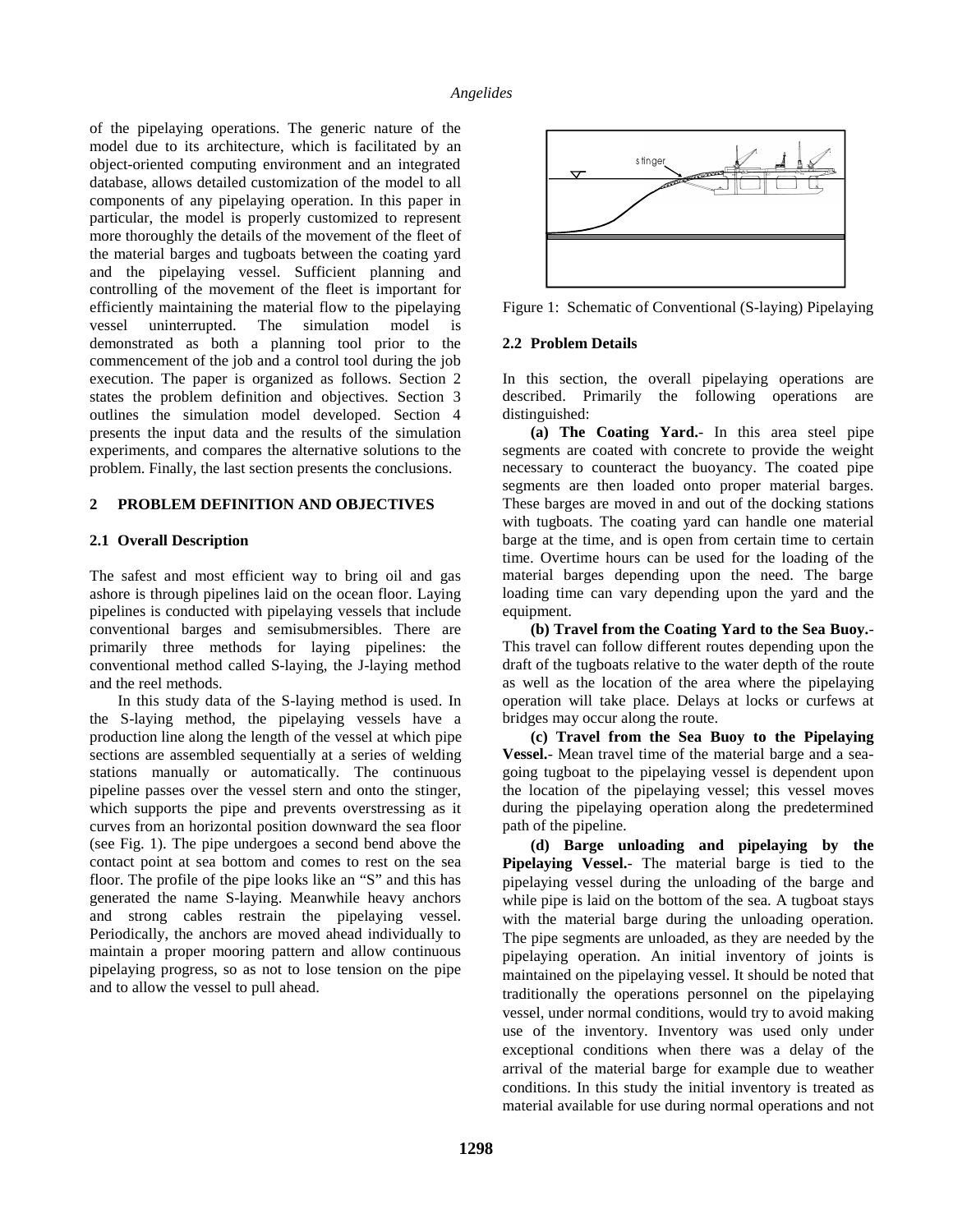of the pipelaying operations. The generic nature of the model due to its architecture, which is facilitated by an object-oriented computing environment and an integrated database, allows detailed customization of the model to all components of any pipelaying operation. In this paper in particular, the model is properly customized to represent more thoroughly the details of the movement of the fleet of the material barges and tugboats between the coating yard and the pipelaying vessel. Sufficient planning and controlling of the movement of the fleet is important for efficiently maintaining the material flow to the pipelaying vessel uninterrupted. The simulation model is demonstrated as both a planning tool prior to the commencement of the job and a control tool during the job execution. The paper is organized as follows. Section 2 states the problem definition and objectives. Section 3 outlines the simulation model developed. Section 4 presents the input data and the results of the simulation experiments, and compares the alternative solutions to the problem. Finally, the last section presents the conclusions.

# **2 PROBLEM DEFINITION AND OBJECTIVES**

# **2.1 Overall Description**

The safest and most efficient way to bring oil and gas ashore is through pipelines laid on the ocean floor. Laying pipelines is conducted with pipelaying vessels that include conventional barges and semisubmersibles. There are primarily three methods for laying pipelines: the conventional method called S-laying, the J-laying method and the reel methods.

In this study data of the S-laying method is used. In the S-laying method, the pipelaying vessels have a production line along the length of the vessel at which pipe sections are assembled sequentially at a series of welding stations manually or automatically. The continuous pipeline passes over the vessel stern and onto the stinger, which supports the pipe and prevents overstressing as it curves from an horizontal position downward the sea floor (see Fig. 1). The pipe undergoes a second bend above the contact point at sea bottom and comes to rest on the sea floor. The profile of the pipe looks like an "S" and this has generated the name S-laying. Meanwhile heavy anchors and strong cables restrain the pipelaying vessel. Periodically, the anchors are moved ahead individually to maintain a proper mooring pattern and allow continuous pipelaying progress, so as not to lose tension on the pipe and to allow the vessel to pull ahead.



Figure 1: Schematic of Conventional (S-laying) Pipelaying

## **2.2 Problem Details**

In this section, the overall pipelaying operations are described. Primarily the following operations are distinguished:

**(a) The Coating Yard.**- In this area steel pipe segments are coated with concrete to provide the weight necessary to counteract the buoyancy. The coated pipe segments are then loaded onto proper material barges. These barges are moved in and out of the docking stations with tugboats. The coating yard can handle one material barge at the time, and is open from certain time to certain time. Overtime hours can be used for the loading of the material barges depending upon the need. The barge loading time can vary depending upon the yard and the equipment.

**(b) Travel from the Coating Yard to the Sea Buoy.**- This travel can follow different routes depending upon the draft of the tugboats relative to the water depth of the route as well as the location of the area where the pipelaying operation will take place. Delays at locks or curfews at bridges may occur along the route.

**(c) Travel from the Sea Buoy to the Pipelaying Vessel.**- Mean travel time of the material barge and a seagoing tugboat to the pipelaying vessel is dependent upon the location of the pipelaying vessel; this vessel moves during the pipelaying operation along the predetermined path of the pipeline.

**(d) Barge unloading and pipelaying by the Pipelaying Vessel.**- The material barge is tied to the pipelaying vessel during the unloading of the barge and while pipe is laid on the bottom of the sea. A tugboat stays with the material barge during the unloading operation. The pipe segments are unloaded, as they are needed by the pipelaying operation. An initial inventory of joints is maintained on the pipelaying vessel. It should be noted that traditionally the operations personnel on the pipelaying vessel, under normal conditions, would try to avoid making use of the inventory. Inventory was used only under exceptional conditions when there was a delay of the arrival of the material barge for example due to weather conditions. In this study the initial inventory is treated as material available for use during normal operations and not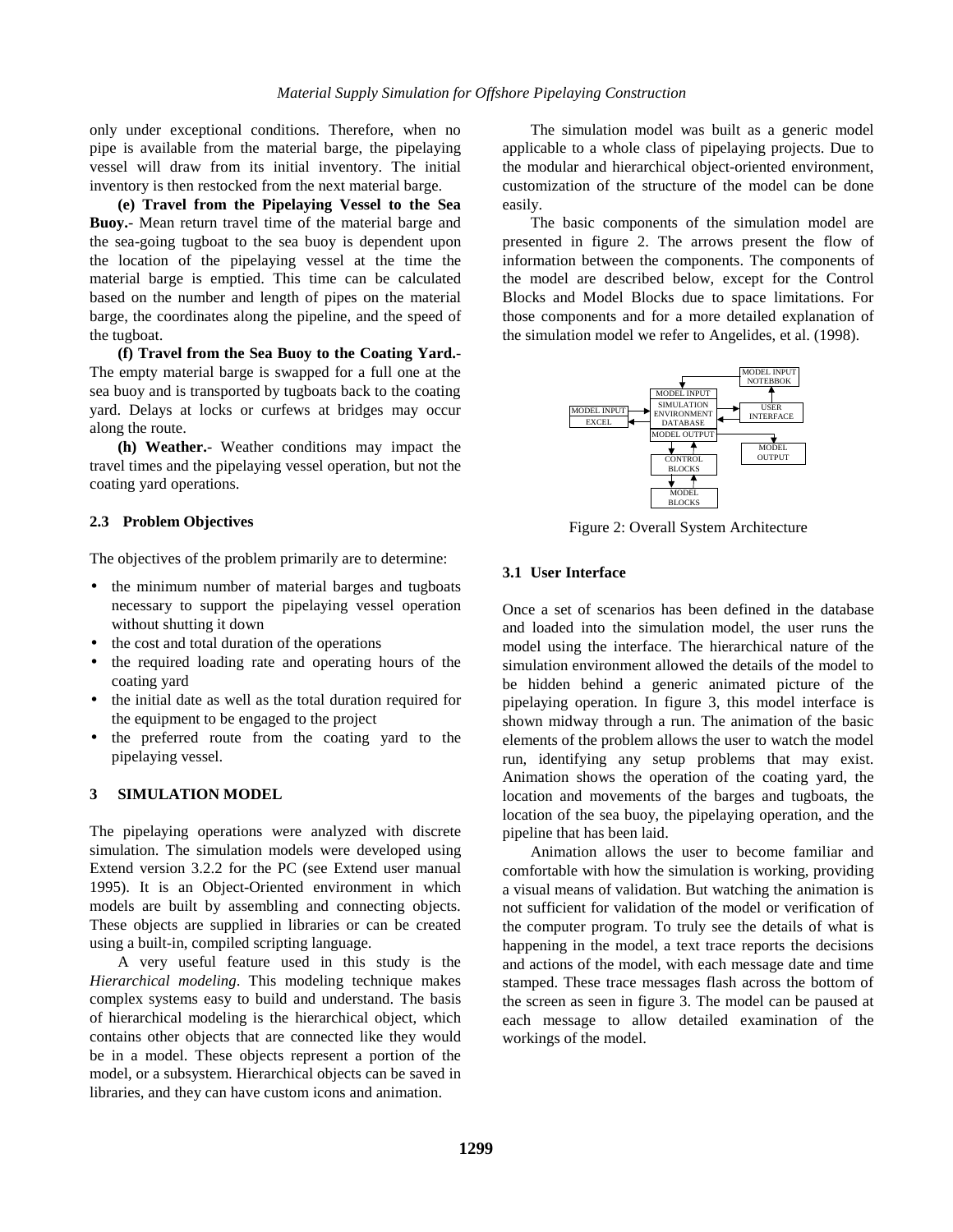only under exceptional conditions. Therefore, when no pipe is available from the material barge, the pipelaying vessel will draw from its initial inventory. The initial inventory is then restocked from the next material barge.

**(e) Travel from the Pipelaying Vessel to the Sea Buoy.**- Mean return travel time of the material barge and the sea-going tugboat to the sea buoy is dependent upon the location of the pipelaying vessel at the time the material barge is emptied. This time can be calculated based on the number and length of pipes on the material barge, the coordinates along the pipeline, and the speed of the tugboat.

**(f) Travel from the Sea Buoy to the Coating Yard.**- The empty material barge is swapped for a full one at the sea buoy and is transported by tugboats back to the coating yard. Delays at locks or curfews at bridges may occur along the route.

**(h) Weather.**- Weather conditions may impact the travel times and the pipelaying vessel operation, but not the coating yard operations.

# **2.3 Problem Objectives**

The objectives of the problem primarily are to determine:

- the minimum number of material barges and tugboats necessary to support the pipelaying vessel operation without shutting it down
- the cost and total duration of the operations
- the required loading rate and operating hours of the coating yard
- the initial date as well as the total duration required for the equipment to be engaged to the project
- the preferred route from the coating yard to the pipelaying vessel.

# **3 SIMULATION MODEL**

The pipelaying operations were analyzed with discrete simulation. The simulation models were developed using Extend version 3.2.2 for the PC (see Extend user manual 1995). It is an Object-Oriented environment in which models are built by assembling and connecting objects. These objects are supplied in libraries or can be created using a built-in, compiled scripting language.

A very useful feature used in this study is the *Hierarchical modeling*. This modeling technique makes complex systems easy to build and understand. The basis of hierarchical modeling is the hierarchical object, which contains other objects that are connected like they would be in a model. These objects represent a portion of the model, or a subsystem. Hierarchical objects can be saved in libraries, and they can have custom icons and animation.

The simulation model was built as a generic model applicable to a whole class of pipelaying projects. Due to the modular and hierarchical object-oriented environment, customization of the structure of the model can be done easily.

The basic components of the simulation model are presented in figure 2. The arrows present the flow of information between the components. The components of the model are described below, except for the Control Blocks and Model Blocks due to space limitations. For those components and for a more detailed explanation of the simulation model we refer to Angelides, et al. (1998).



Figure 2: Overall System Architecture

# **3.1 User Interface**

Once a set of scenarios has been defined in the database and loaded into the simulation model, the user runs the model using the interface. The hierarchical nature of the simulation environment allowed the details of the model to be hidden behind a generic animated picture of the pipelaying operation. In figure 3, this model interface is shown midway through a run. The animation of the basic elements of the problem allows the user to watch the model run, identifying any setup problems that may exist. Animation shows the operation of the coating yard, the location and movements of the barges and tugboats, the location of the sea buoy, the pipelaying operation, and the pipeline that has been laid.

Animation allows the user to become familiar and comfortable with how the simulation is working, providing a visual means of validation. But watching the animation is not sufficient for validation of the model or verification of the computer program. To truly see the details of what is happening in the model, a text trace reports the decisions and actions of the model, with each message date and time stamped. These trace messages flash across the bottom of the screen as seen in figure 3. The model can be paused at each message to allow detailed examination of the workings of the model.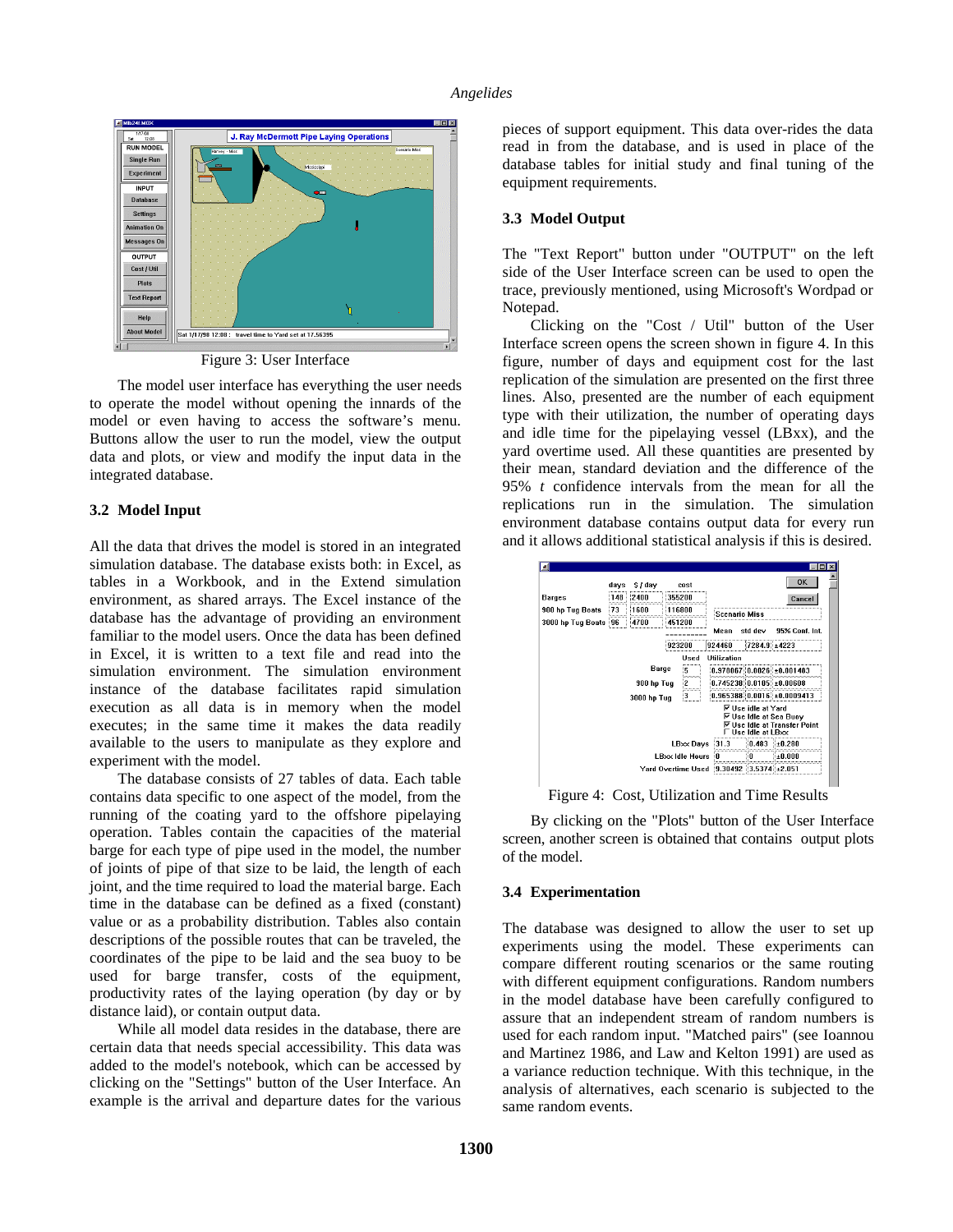

Figure 3: User Interface

The model user interface has everything the user needs to operate the model without opening the innards of the model or even having to access the software's menu. Buttons allow the user to run the model, view the output data and plots, or view and modify the input data in the integrated database.

### **3.2 Model Input**

All the data that drives the model is stored in an integrated simulation database. The database exists both: in Excel, as tables in a Workbook, and in the Extend simulation environment, as shared arrays. The Excel instance of the database has the advantage of providing an environment familiar to the model users. Once the data has been defined in Excel, it is written to a text file and read into the simulation environment. The simulation environment instance of the database facilitates rapid simulation execution as all data is in memory when the model executes; in the same time it makes the data readily available to the users to manipulate as they explore and experiment with the model.

The database consists of 27 tables of data. Each table contains data specific to one aspect of the model, from the running of the coating yard to the offshore pipelaying operation. Tables contain the capacities of the material barge for each type of pipe used in the model, the number of joints of pipe of that size to be laid, the length of each joint, and the time required to load the material barge. Each time in the database can be defined as a fixed (constant) value or as a probability distribution. Tables also contain descriptions of the possible routes that can be traveled, the coordinates of the pipe to be laid and the sea buoy to be used for barge transfer, costs of the equipment, productivity rates of the laying operation (by day or by distance laid), or contain output data.

While all model data resides in the database, there are certain data that needs special accessibility. This data was added to the model's notebook, which can be accessed by clicking on the "Settings" button of the User Interface. An example is the arrival and departure dates for the various

pieces of support equipment. This data over-rides the data read in from the database, and is used in place of the database tables for initial study and final tuning of the equipment requirements.

### **3.3 Model Output**

The "Text Report" button under "OUTPUT" on the left side of the User Interface screen can be used to open the trace, previously mentioned, using Microsoft's Wordpad or Notepad.

Clicking on the "Cost / Util" button of the User Interface screen opens the screen shown in figure 4. In this figure, number of days and equipment cost for the last replication of the simulation are presented on the first three lines. Also, presented are the number of each equipment type with their utilization, the number of operating days and idle time for the pipelaying vessel (LBxx), and the yard overtime used. All these quantities are presented by their mean, standard deviation and the difference of the 95% *t* confidence intervals from the mean for all the replications run in the simulation. The simulation environment database contains output data for every run and it allows additional statistical analysis if this is desired.



Figure 4: Cost, Utilization and Time Results

By clicking on the "Plots" button of the User Interface screen, another screen is obtained that contains output plots of the model.

#### **3.4 Experimentation**

The database was designed to allow the user to set up experiments using the model. These experiments can compare different routing scenarios or the same routing with different equipment configurations. Random numbers in the model database have been carefully configured to assure that an independent stream of random numbers is used for each random input. "Matched pairs" (see Ioannou and Martinez 1986, and Law and Kelton 1991) are used as a variance reduction technique. With this technique, in the analysis of alternatives, each scenario is subjected to the same random events.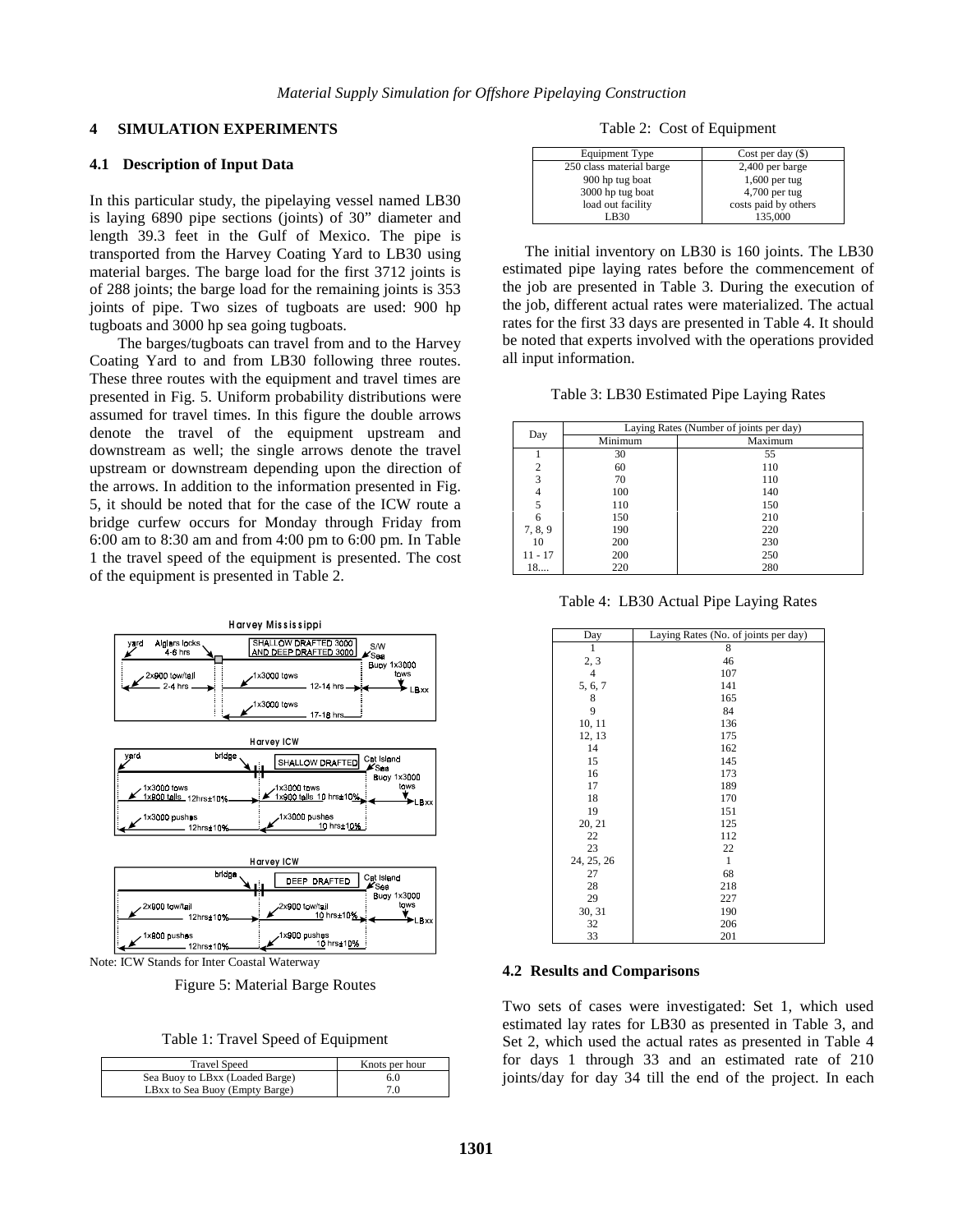### **4 SIMULATION EXPERIMENTS**

### **4.1 Description of Input Data**

In this particular study, the pipelaying vessel named LB30 is laying 6890 pipe sections (joints) of 30" diameter and length 39.3 feet in the Gulf of Mexico. The pipe is transported from the Harvey Coating Yard to LB30 using material barges. The barge load for the first 3712 joints is of 288 joints; the barge load for the remaining joints is 353 joints of pipe. Two sizes of tugboats are used: 900 hp tugboats and 3000 hp sea going tugboats.

The barges/tugboats can travel from and to the Harvey Coating Yard to and from LB30 following three routes. These three routes with the equipment and travel times are presented in Fig. 5. Uniform probability distributions were assumed for travel times. In this figure the double arrows denote the travel of the equipment upstream and downstream as well; the single arrows denote the travel upstream or downstream depending upon the direction of the arrows. In addition to the information presented in Fig. 5, it should be noted that for the case of the ICW route a bridge curfew occurs for Monday through Friday from 6:00 am to 8:30 am and from 4:00 pm to 6:00 pm. In Table 1 the travel speed of the equipment is presented. The cost of the equipment is presented in Table 2.



12hrs±10% Note: ICW Stands for Inter Coastal Waterway

x900 pushes

Figure 5: Material Barge Routes

x900 pushes<br>10 hrs±10%

Table 1: Travel Speed of Equipment

| <b>Travel Speed</b>             | Knots per hour |
|---------------------------------|----------------|
| Sea Buoy to LBxx (Loaded Barge) | 6.0            |
| LBxx to Sea Buoy (Empty Barge)  | 7.0            |

Table 2: Cost of Equipment

| Equipment Type           | Cost per day $(\$)$  |
|--------------------------|----------------------|
| 250 class material barge | $2,400$ per barge    |
| 900 hp tug boat          | $1,600$ per tug      |
| 3000 hp tug boat         | $4,700$ per tug      |
| load out facility        | costs paid by others |
| LB30                     | 135,000              |

The initial inventory on LB30 is 160 joints. The LB30 estimated pipe laying rates before the commencement of the job are presented in Table 3. During the execution of the job, different actual rates were materialized. The actual rates for the first 33 days are presented in Table 4. It should be noted that experts involved with the operations provided all input information.

Table 3: LB30 Estimated Pipe Laying Rates

| Day            |         | Laying Rates (Number of joints per day) |  |  |  |  |
|----------------|---------|-----------------------------------------|--|--|--|--|
|                | Minimum | Maximum                                 |  |  |  |  |
|                | 30      | 55                                      |  |  |  |  |
| $\overline{c}$ | 60      | 110                                     |  |  |  |  |
| 3              | 70      | 110                                     |  |  |  |  |
| 4              | 100     | 140                                     |  |  |  |  |
| 5              | 110     | 150                                     |  |  |  |  |
| 6              | 150     | 210                                     |  |  |  |  |
| 7, 8, 9        | 190     | 220                                     |  |  |  |  |
| 10             | 200     | 230                                     |  |  |  |  |
| 11 - 17        | 200     | 250                                     |  |  |  |  |
| 18             | 220     | 280                                     |  |  |  |  |

Table 4: LB30 Actual Pipe Laying Rates

| Day                      | Laying Rates (No. of joints per day) |
|--------------------------|--------------------------------------|
| 1                        | 8                                    |
| 2, 3                     | 46                                   |
| $\overline{\mathcal{L}}$ | 107                                  |
| 5, 6, 7                  | 141                                  |
| 8                        | 165                                  |
| 9                        | 84                                   |
| 10, 11                   | 136                                  |
| 12, 13                   | 175                                  |
| 14                       | 162                                  |
| 15                       | 145                                  |
| 16                       | 173                                  |
| 17                       | 189                                  |
| 18                       | 170                                  |
| 19                       | 151                                  |
| 20, 21                   | 125                                  |
| 22                       | 112                                  |
| 23                       | 22                                   |
| 24, 25, 26               | 1                                    |
| 27                       | 68                                   |
| 28                       | 218                                  |
| 29                       | 227                                  |
| 30, 31                   | 190                                  |
| 32                       | 206                                  |
| 33                       | 201                                  |

#### **4.2 Results and Comparisons**

Two sets of cases were investigated: Set 1, which used estimated lay rates for LB30 as presented in Table 3, and Set 2, which used the actual rates as presented in Table 4 for days 1 through 33 and an estimated rate of 210 joints/day for day 34 till the end of the project. In each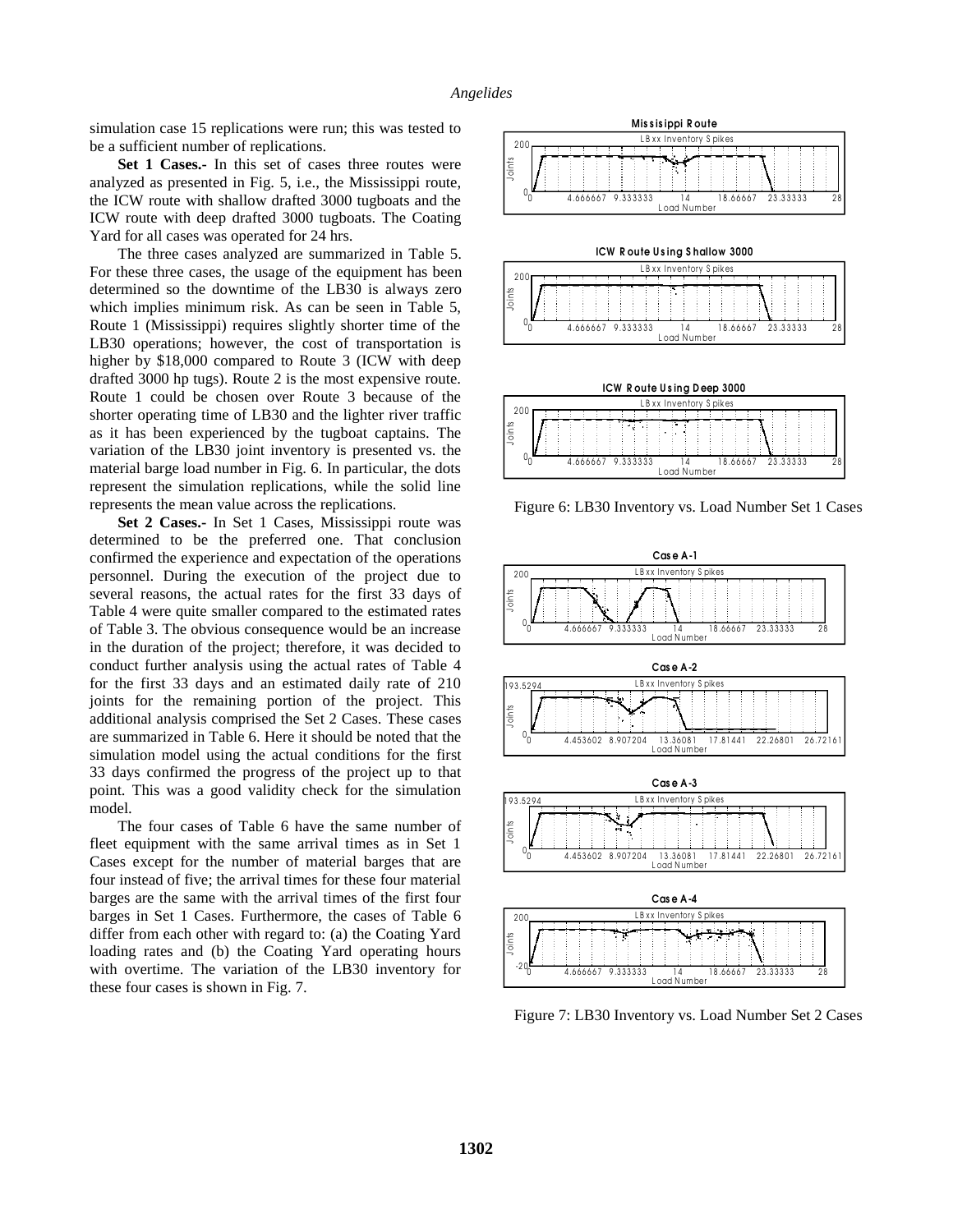simulation case 15 replications were run; this was tested to be a sufficient number of replications.

Set 1 Cases.- In this set of cases three routes were analyzed as presented in Fig. 5, i.e., the Mississippi route, the ICW route with shallow drafted 3000 tugboats and the ICW route with deep drafted 3000 tugboats. The Coating Yard for all cases was operated for 24 hrs.

The three cases analyzed are summarized in Table 5. For these three cases, the usage of the equipment has been determined so the downtime of the LB30 is always zero which implies minimum risk. As can be seen in Table 5, Route 1 (Mississippi) requires slightly shorter time of the LB30 operations; however, the cost of transportation is higher by \$18,000 compared to Route 3 (ICW with deep drafted 3000 hp tugs). Route 2 is the most expensive route. Route 1 could be chosen over Route 3 because of the shorter operating time of LB30 and the lighter river traffic as it has been experienced by the tugboat captains. The variation of the LB30 joint inventory is presented vs. the material barge load number in Fig. 6. In particular, the dots represent the simulation replications, while the solid line represents the mean value across the replications.

**Set 2 Cases.-** In Set 1 Cases, Mississippi route was determined to be the preferred one. That conclusion confirmed the experience and expectation of the operations personnel. During the execution of the project due to several reasons, the actual rates for the first 33 days of Table 4 were quite smaller compared to the estimated rates of Table 3. The obvious consequence would be an increase in the duration of the project; therefore, it was decided to conduct further analysis using the actual rates of Table 4 for the first 33 days and an estimated daily rate of 210 joints for the remaining portion of the project. This additional analysis comprised the Set 2 Cases. These cases are summarized in Table 6. Here it should be noted that the simulation model using the actual conditions for the first 33 days confirmed the progress of the project up to that point. This was a good validity check for the simulation model.

The four cases of Table 6 have the same number of fleet equipment with the same arrival times as in Set 1 Cases except for the number of material barges that are four instead of five; the arrival times for these four material barges are the same with the arrival times of the first four barges in Set 1 Cases. Furthermore, the cases of Table 6 differ from each other with regard to: (a) the Coating Yard loading rates and (b) the Coating Yard operating hours with overtime. The variation of the LB30 inventory for these four cases is shown in Fig. 7.



**ICW R oute U s ing S hallow 3000**





Figure 6: LB30 Inventory vs. Load Number Set 1 Cases



Figure 7: LB30 Inventory vs. Load Number Set 2 Cases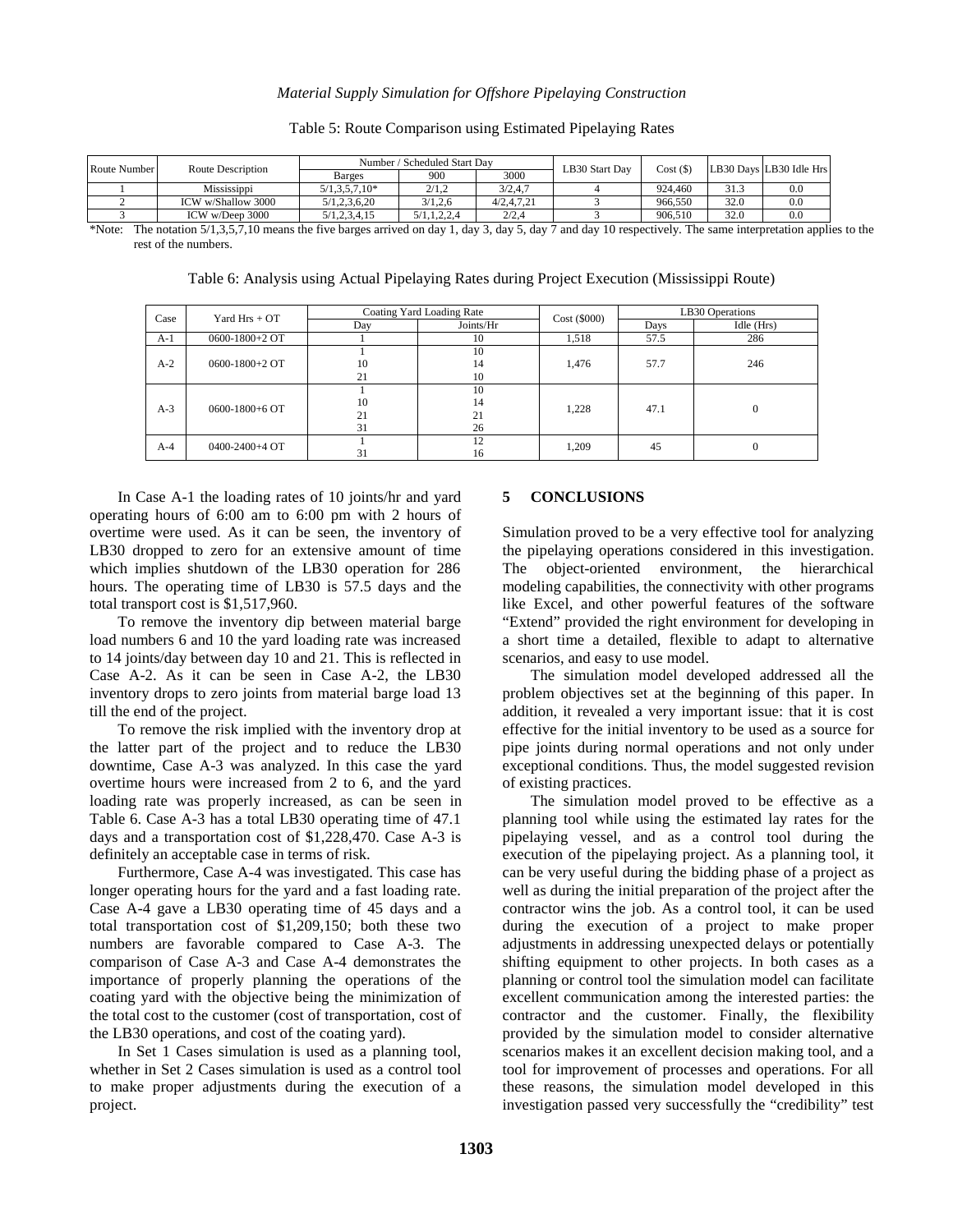## *Material Supply Simulation for Offshore Pipelaying Construction*

| Route Number | Route Description  | Number / Scheduled Start Day |                 |               | LB30 Start Day | Cost (\$) |      | LB30 Days LB30 Idle Hrs |
|--------------|--------------------|------------------------------|-----------------|---------------|----------------|-----------|------|-------------------------|
|              |                    | Barges                       | 900             | 3000          |                |           |      |                         |
|              | Mississippi        | $5/1, 3, 5, 7, 10*$          | 2/1.2           | 3/2.4.7       |                | 924,460   | 31.3 | 0.0                     |
|              | ICW w/Shallow 3000 | 5/1, 2, 3, 6, 20             | 3/1,2.6         | 4/2, 4, 7, 21 |                | 966,550   | 32.0 | 0.0                     |
|              | ICW $w/Deep$ 3000  | 5/1, 2, 3, 4, 15             | 5/1, 1, 2, 2, 4 | 2/2.4         |                | 906.510   | 32.0 | 0.0                     |

#### Table 5: Route Comparison using Estimated Pipelaying Rates

\*Note: The notation 5/1,3,5,7,10 means the five barges arrived on day 1, day 3, day 5, day 7 and day 10 respectively. The same interpretation applies to the rest of the numbers.

Table 6: Analysis using Actual Pipelaying Rates during Project Execution (Mississippi Route)

| Case  | Yard Hrs $+$ OT      | Coating Yard Loading Rate |           | Cost (6000) | LB30 Operations |              |  |
|-------|----------------------|---------------------------|-----------|-------------|-----------------|--------------|--|
|       |                      | Dav                       | Joints/Hr |             | Days            | Idle $(Hrs)$ |  |
| $A-1$ | 0600-1800+2 OT       |                           | 10        | 1,518       | 57.5            | 286          |  |
| $A-2$ |                      |                           | 10        | 1,476       | 57.7            | 246          |  |
|       | 0600-1800+2 OT       | 10                        | 14        |             |                 |              |  |
|       |                      | 21                        | 10        |             |                 |              |  |
| $A-3$ | 0600-1800+6 OT       |                           | 10        | 1,228       | 47.1            | $\Omega$     |  |
|       |                      | 10                        | 14        |             |                 |              |  |
|       |                      | 21                        | 21        |             |                 |              |  |
|       |                      | 31                        | 26        |             |                 |              |  |
| $A-4$ | $0400 - 2400 + 4$ OT |                           | 12        | 1,209       | 45              | $\Omega$     |  |
|       |                      | 31                        | 16        |             |                 |              |  |

In Case A-1 the loading rates of 10 joints/hr and yard operating hours of 6:00 am to 6:00 pm with 2 hours of overtime were used. As it can be seen, the inventory of LB30 dropped to zero for an extensive amount of time which implies shutdown of the LB30 operation for 286 hours. The operating time of LB30 is 57.5 days and the total transport cost is \$1,517,960.

To remove the inventory dip between material barge load numbers 6 and 10 the yard loading rate was increased to 14 joints/day between day 10 and 21. This is reflected in Case A-2. As it can be seen in Case A-2, the LB30 inventory drops to zero joints from material barge load 13 till the end of the project.

To remove the risk implied with the inventory drop at the latter part of the project and to reduce the LB30 downtime, Case A-3 was analyzed. In this case the yard overtime hours were increased from 2 to 6, and the yard loading rate was properly increased, as can be seen in Table 6. Case A-3 has a total LB30 operating time of 47.1 days and a transportation cost of \$1,228,470. Case A-3 is definitely an acceptable case in terms of risk.

Furthermore, Case A-4 was investigated. This case has longer operating hours for the yard and a fast loading rate. Case A-4 gave a LB30 operating time of 45 days and a total transportation cost of \$1,209,150; both these two numbers are favorable compared to Case A-3. The comparison of Case A-3 and Case A-4 demonstrates the importance of properly planning the operations of the coating yard with the objective being the minimization of the total cost to the customer (cost of transportation, cost of the LB30 operations, and cost of the coating yard).

In Set 1 Cases simulation is used as a planning tool, whether in Set 2 Cases simulation is used as a control tool to make proper adjustments during the execution of a project.

## **5 CONCLUSIONS**

Simulation proved to be a very effective tool for analyzing the pipelaying operations considered in this investigation. The object-oriented environment, the hierarchical modeling capabilities, the connectivity with other programs like Excel, and other powerful features of the software "Extend" provided the right environment for developing in a short time a detailed, flexible to adapt to alternative scenarios, and easy to use model.

The simulation model developed addressed all the problem objectives set at the beginning of this paper. In addition, it revealed a very important issue: that it is cost effective for the initial inventory to be used as a source for pipe joints during normal operations and not only under exceptional conditions. Thus, the model suggested revision of existing practices.

The simulation model proved to be effective as a planning tool while using the estimated lay rates for the pipelaying vessel, and as a control tool during the execution of the pipelaying project. As a planning tool, it can be very useful during the bidding phase of a project as well as during the initial preparation of the project after the contractor wins the job. As a control tool, it can be used during the execution of a project to make proper adjustments in addressing unexpected delays or potentially shifting equipment to other projects. In both cases as a planning or control tool the simulation model can facilitate excellent communication among the interested parties: the contractor and the customer. Finally, the flexibility provided by the simulation model to consider alternative scenarios makes it an excellent decision making tool, and a tool for improvement of processes and operations. For all these reasons, the simulation model developed in this investigation passed very successfully the "credibility" test